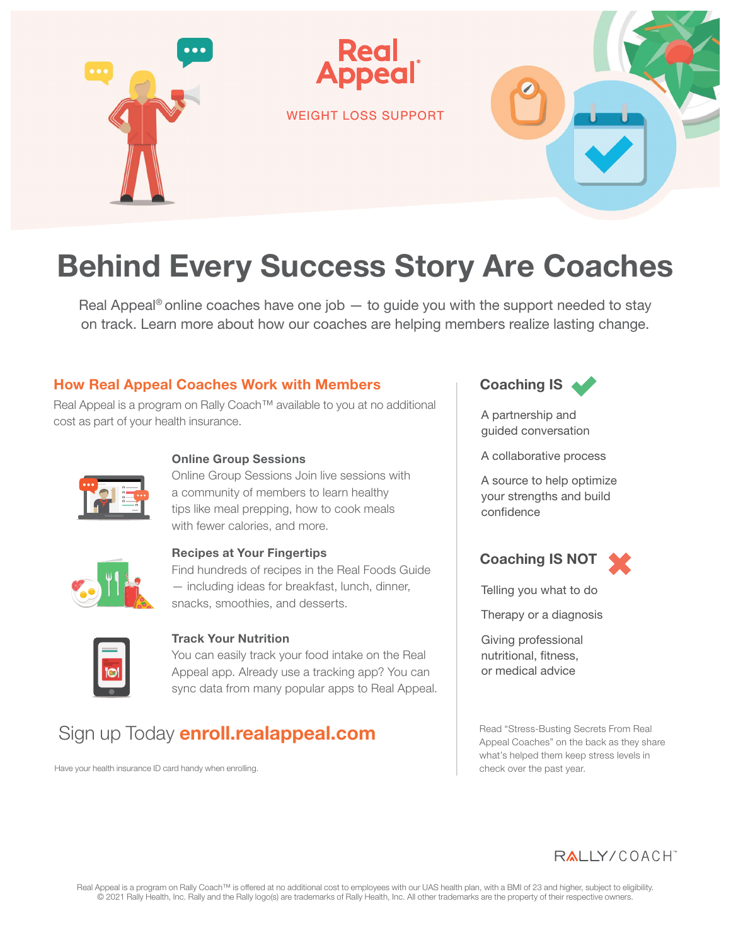

# Behind Every Success Story Are Coaches

Real Appeal<sup>®</sup> online coaches have one job  $-$  to guide you with the support needed to stay on track. Learn more about how our coaches are helping members realize lasting change.

#### How Real Appeal Coaches Work with Members

**Real Appeal is a program on Rally Coach™ available to you at no additional cost as part of your health insurance.**



#### Online Group Sessions

Online Group Sessions Join live sessions with a community of members to learn healthy tips like meal prepping, how to cook meals with fewer calories, and more.



#### Recipes at Your Fingertips

Find hundreds of recipes in the Real Foods Guide — including ideas for breakfast, lunch, dinner, snacks, smoothies, and desserts.



#### Track Your Nutrition

You can easily track your food intake on the Real Appeal app. Already use a tracking app? You can sync data from many popular apps to Real Appeal.

### **�Sign up Today enroll.realappeal.com**

**Have your health insurance ID card handy when enrolling.**



A partnership and guided conversation

A collaborative process

A source to help optimize your strengths and build confidence

Coaching IS NOT

Telling you what to do

Therapy or a diagnosis

Giving professional nutritional, fitness, or medical advice

Read "Stress-Busting Secrets From Real Appeal Coaches" on the back as they share what's helped them keep stress levels in check over the past year.